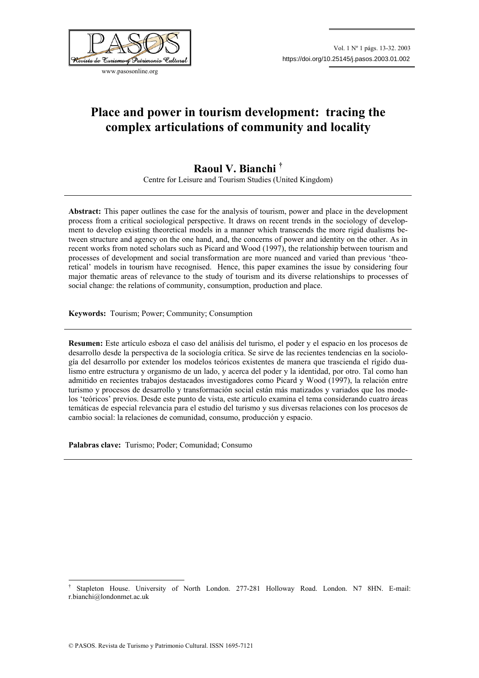

www.pasosonline.org

# **Place and power in tourism development: tracing the complex articulations of community and locality**

# **Raoul V. Bianchi †**

Centre for Leisure and Tourism Studies (United Kingdom)

**Abstract:** This paper outlines the case for the analysis of tourism, power and place in the development process from a critical sociological perspective. It draws on recent trends in the sociology of development to develop existing theoretical models in a manner which transcends the more rigid dualisms between structure and agency on the one hand, and, the concerns of power and identity on the other. As in recent works from noted scholars such as Picard and Wood (1997), the relationship between tourism and processes of development and social transformation are more nuanced and varied than previous 'theoretical' models in tourism have recognised. Hence, this paper examines the issue by considering four major thematic areas of relevance to the study of tourism and its diverse relationships to processes of social change: the relations of community, consumption, production and place.

**Keywords:** Tourism; Power; Community; Consumption

**Resumen:** Este artículo esboza el caso del análisis del turismo, el poder y el espacio en los procesos de desarrollo desde la perspectiva de la sociología crítica. Se sirve de las recientes tendencias en la sociología del desarrollo por extender los modelos teóricos existentes de manera que trascienda el rígido dualismo entre estructura y organismo de un lado, y acerca del poder y la identidad, por otro. Tal como han admitido en recientes trabajos destacados investigadores como Picard y Wood (1997), la relación entre turismo y procesos de desarrollo y transformación social están más matizados y variados que los modelos 'teóricos' previos. Desde este punto de vista, este artículo examina el tema considerando cuatro áreas temáticas de especial relevancia para el estudio del turismo y sus diversas relaciones con los procesos de cambio social: la relaciones de comunidad, consumo, producción y espacio.

**Palabras clave:** Turismo; Poder; Comunidad; Consumo

 $\overline{a}$ 

<sup>†</sup> Stapleton House. University of North London. 277-281 Holloway Road. London. N7 8HN. E-mail: r.bianchi@londonmet.ac.uk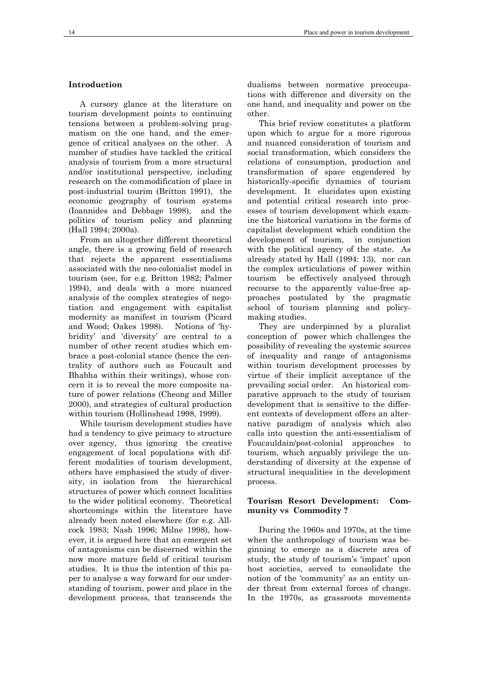# **Introduction**

A cursory glance at the literature on tourism development points to continuing tensions between a problem-solving pragmatism on the one hand, and the emergence of critical analyses on the other. A number of studies have tackled the critical analysis of tourism from a more structural and/or institutional perspective, including research on the commodification of place in post-industrial tourim (Britton 1991), the economic geography of tourism systems (Ioannides and Debbage 1998), and the politics of tourism policy and planning (Hall 1994; 2000a).

From an altogether different theoretical angle, there is a growing field of research that rejects the apparent essentialisms associated with the neo-colonialist model in tourism (see, for e.g. Britton 1982; Palmer 1994), and deals with a more nuanced analysis of the complex strategies of negotiation and engagement with capitalist modernity as manifest in tourism (Picard and Wood; Oakes 1998). Notions of 'hybridity' and 'diversity' are central to a number of other recent studies which embrace a post-colonial stance (hence the centrality of authors such as Foucault and Bhabha within their writings), whose concern it is to reveal the more composite nature of power relations (Cheong and Miller 2000), and strategies of cultural production within tourism (Hollinshead 1998, 1999).

While tourism development studies have had a tendency to give primacy to structure over agency, thus ignoring the creative engagement of local populations with different modalities of tourism development, others have emphasised the study of diversity, in isolation from the hierarchical structures of power which connect localities to the wider political economy. Theoretical shortcomings within the literature have already been noted elsewhere (for e.g. Allcock 1983; Nash 1996; Milne 1998), however, it is argued here that an emergent set of antagonisms can be discerned within the now more mature field of critical tourism studies. It is thus the intention of this paper to analyse a way forward for our understanding of tourism, power and place in the development process, that transcends the

dualisms between normative preoccupations with difference and diversity on the one hand, and inequality and power on the other.

This brief review constitutes a platform upon which to argue for a more rigorous and nuanced consideration of tourism and social transformation, which considers the relations of consumption, production and transformation of space engendered by historically-specific dynamics of tourism development. It elucidates upon existing and potential critical research into processes of tourism development which examine the historical variations in the forms of capitalist development which condition the development of tourism, in conjunction with the political agency of the state. As already stated by Hall (1994: 13), nor can the complex articulations of power within tourism be effectively analysed through recourse to the apparently value-free approaches postulated by the pragmatic school of tourism planning and policymaking studies.

They are underpinned by a pluralist conception of power which challenges the possibility of revealing the systemic sources of inequality and range of antagonisms within tourism development processes by virtue of their implicit acceptance of the prevailing social order. An historical comparative approach to the study of tourism development that is sensitive to the different contexts of development offers an alternative paradigm of analysis which also calls into question the anti-essentialism of Foucauldain/post-colonial approaches to tourism, which arguably privilege the understanding of diversity at the expense of structural inequalities in the development process.

#### **Tourism Resort Development: Community vs Commodity ?**

During the 1960s and 1970s, at the time when the anthropology of tourism was beginning to emerge as a discrete area of study, the study of tourism's 'impact' upon host societies, served to consolidate the notion of the 'community' as an entity under threat from external forces of change. In the 1970s, as grassroots movements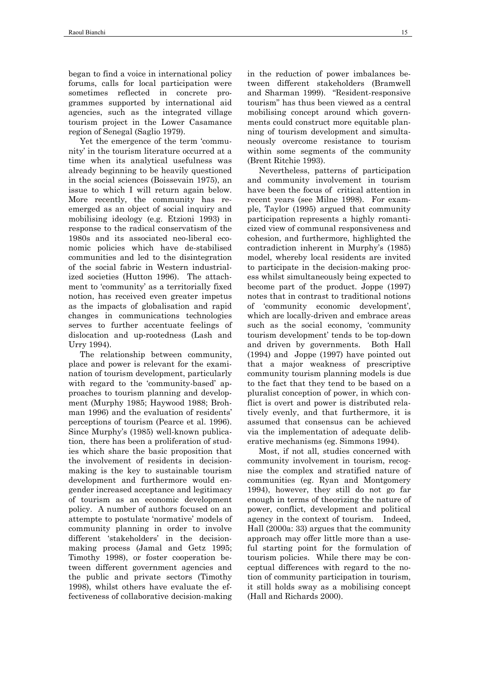began to find a voice in international policy forums, calls for local participation were sometimes reflected in concrete programmes supported by international aid agencies, such as the integrated village tourism project in the Lower Casamance region of Senegal (Saglio 1979).

Yet the emergence of the term 'community' in the tourism literature occurred at a time when its analytical usefulness was already beginning to be heavily questioned in the social sciences (Boissevain 1975), an issue to which I will return again below. More recently, the community has reemerged as an object of social inquiry and mobilising ideology (e.g. Etzioni 1993) in response to the radical conservatism of the 1980s and its associated neo-liberal economic policies which have de-stabilised communities and led to the disintegration of the social fabric in Western industrialized societies (Hutton 1996). The attachment to 'community' as a territorially fixed notion, has received even greater impetus as the impacts of globalisation and rapid changes in communications technologies serves to further accentuate feelings of dislocation and up-rootedness (Lash and Urry 1994).

The relationship between community, place and power is relevant for the examination of tourism development, particularly with regard to the 'community-based' approaches to tourism planning and development (Murphy 1985; Haywood 1988; Brohman 1996) and the evaluation of residents' perceptions of tourism (Pearce et al. 1996). Since Murphy's (1985) well-known publication, there has been a proliferation of studies which share the basic proposition that the involvement of residents in decisionmaking is the key to sustainable tourism development and furthermore would engender increased acceptance and legitimacy of tourism as an economic development policy. A number of authors focused on an attempte to postulate 'normative' models of community planning in order to involve different 'stakeholders' in the decisionmaking process (Jamal and Getz 1995; Timothy 1998), or foster cooperation between different government agencies and the public and private sectors (Timothy 1998), whilst others have evaluate the effectiveness of collaborative decision-making

in the reduction of power imbalances between different stakeholders (Bramwell and Sharman 1999). "Resident-responsive tourism" has thus been viewed as a central mobilising concept around which governments could construct more equitable planning of tourism development and simultaneously overcome resistance to tourism within some segments of the community (Brent Ritchie 1993).

Nevertheless, patterns of participation and community involvement in tourism have been the focus of critical attention in recent years (see Milne 1998). For example, Taylor (1995) argued that community participation represents a highly romanticized view of communal responsiveness and cohesion, and furthermore, highlighted the contradiction inherent in Murphy's (1985) model, whereby local residents are invited to participate in the decision-making process whilst simultaneously being expected to become part of the product. Joppe (1997) notes that in contrast to traditional notions of 'community economic development', which are locally-driven and embrace areas such as the social economy, 'community tourism development' tends to be top-down and driven by governments. Both Hall (1994) and Joppe (1997) have pointed out that a major weakness of prescriptive community tourism planning models is due to the fact that they tend to be based on a pluralist conception of power, in which conflict is overt and power is distributed relatively evenly, and that furthermore, it is assumed that consensus can be achieved via the implementation of adequate deliberative mechanisms (eg. Simmons 1994).

Most, if not all, studies concerned with community involvement in tourism, recognise the complex and stratified nature of communities (eg. Ryan and Montgomery 1994), however, they still do not go far enough in terms of theorizing the nature of power, conflict, development and political agency in the context of tourism. Indeed, Hall (2000a: 33) argues that the community approach may offer little more than a useful starting point for the formulation of tourism policies. While there may be conceptual differences with regard to the notion of community participation in tourism, it still holds sway as a mobilising concept (Hall and Richards 2000).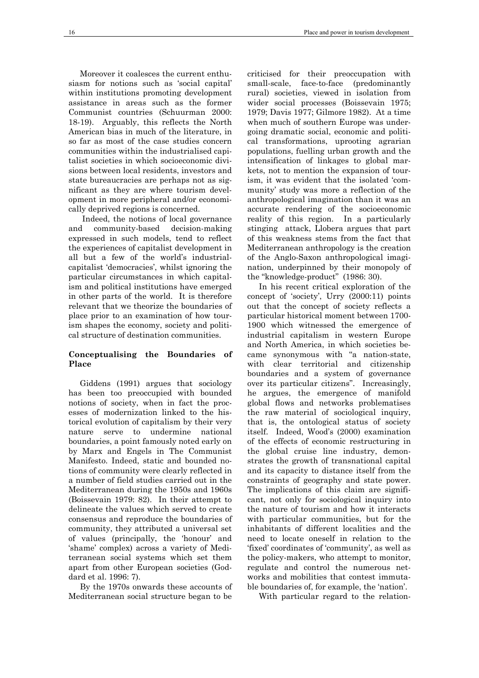Moreover it coalesces the current enthusiasm for notions such as 'social capital' within institutions promoting development assistance in areas such as the former Communist countries (Schuurman 2000: 18-19). Arguably, this reflects the North American bias in much of the literature, in so far as most of the case studies concern communities within the industrialised capitalist societies in which socioeconomic divisions between local residents, investors and state bureaucracies are perhaps not as significant as they are where tourism development in more peripheral and/or economically deprived regions is concerned.

 Indeed, the notions of local governance and community-based decision-making expressed in such models, tend to reflect the experiences of capitalist development in all but a few of the world's industrialcapitalist 'democracies', whilst ignoring the particular circumstances in which capitalism and political institutions have emerged in other parts of the world. It is therefore relevant that we theorize the boundaries of place prior to an examination of how tourism shapes the economy, society and political structure of destination communities.

#### **Conceptualising the Boundaries of Place**

Giddens (1991) argues that sociology has been too preoccupied with bounded notions of society, when in fact the processes of modernization linked to the historical evolution of capitalism by their very nature serve to undermine national boundaries, a point famously noted early on by Marx and Engels in The Communist Manifesto. Indeed, static and bounded notions of community were clearly reflected in a number of field studies carried out in the Mediterranean during the 1950s and 1960s (Boissevain 1979: 82). In their attempt to delineate the values which served to create consensus and reproduce the boundaries of community, they attributed a universal set of values (principally, the 'honour' and 'shame' complex) across a variety of Mediterranean social systems which set them apart from other European societies (Goddard et al. 1996: 7).

By the 1970s onwards these accounts of Mediterranean social structure began to be

criticised for their preoccupation with small-scale, face-to-face (predominantly rural) societies, viewed in isolation from wider social processes (Boissevain 1975; 1979; Davis 1977; Gilmore 1982). At a time when much of southern Europe was undergoing dramatic social, economic and political transformations, uprooting agrarian populations, fuelling urban growth and the intensification of linkages to global markets, not to mention the expansion of tourism, it was evident that the isolated 'community' study was more a reflection of the anthropological imagination than it was an accurate rendering of the socioeconomic reality of this region. In a particularly stinging attack, Llobera argues that part of this weakness stems from the fact that Mediterranean anthropology is the creation of the Anglo-Saxon anthropological imagination, underpinned by their monopoly of the "knowledge-product" (1986: 30).

In his recent critical exploration of the concept of 'society', Urry (2000:11) points out that the concept of society reflects a particular historical moment between 1700- 1900 which witnessed the emergence of industrial capitalism in western Europe and North America, in which societies became synonymous with "a nation-state, with clear territorial and citizenship boundaries and a system of governance over its particular citizens". Increasingly, he argues, the emergence of manifold global flows and networks problematises the raw material of sociological inquiry, that is, the ontological status of society itself. Indeed, Wood's (2000) examination of the effects of economic restructuring in the global cruise line industry, demonstrates the growth of transnational capital and its capacity to distance itself from the constraints of geography and state power. The implications of this claim are significant, not only for sociological inquiry into the nature of tourism and how it interacts with particular communities, but for the inhabitants of different localities and the need to locate oneself in relation to the 'fixed' coordinates of 'community', as well as the policy-makers, who attempt to monitor, regulate and control the numerous networks and mobilities that contest immutable boundaries of, for example, the 'nation'.

With particular regard to the relation-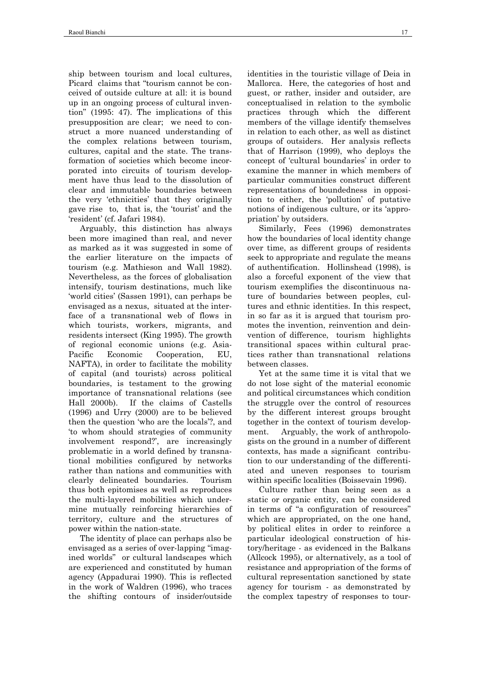ship between tourism and local cultures, Picard claims that "tourism cannot be conceived of outside culture at all: it is bound up in an ongoing process of cultural invention" (1995: 47). The implications of this presupposition are clear; we need to construct a more nuanced understanding of the complex relations between tourism, cultures, capital and the state. The transformation of societies which become incorporated into circuits of tourism development have thus lead to the dissolution of clear and immutable boundaries between the very 'ethnicities' that they originally gave rise to, that is, the 'tourist' and the 'resident' (cf. Jafari 1984).

Arguably, this distinction has always been more imagined than real, and never as marked as it was suggested in some of the earlier literature on the impacts of tourism (e.g. Mathieson and Wall 1982). Nevertheless, as the forces of globalisation intensify, tourism destinations, much like 'world cities' (Sassen 1991), can perhaps be envisaged as a nexus, situated at the interface of a transnational web of flows in which tourists, workers, migrants, and residents intersect (King 1995). The growth of regional economic unions (e.g. Asia-Pacific Economic Cooperation, EU, NAFTA), in order to facilitate the mobility of capital (and tourists) across political boundaries, is testament to the growing importance of transnational relations (see Hall 2000b). If the claims of Castells (1996) and Urry (2000) are to be believed then the question 'who are the locals'?, and 'to whom should strategies of community involvement respond?', are increasingly problematic in a world defined by transnational mobilities configured by networks rather than nations and communities with clearly delineated boundaries. Tourism thus both epitomises as well as reproduces the multi-layered mobilities which undermine mutually reinforcing hierarchies of territory, culture and the structures of power within the nation-state.

The identity of place can perhaps also be envisaged as a series of over-lapping "imagined worlds" or cultural landscapes which are experienced and constituted by human agency (Appadurai 1990). This is reflected in the work of Waldren (1996), who traces the shifting contours of insider/outside

identities in the touristic village of Deia in Mallorca. Here, the categories of host and guest, or rather, insider and outsider, are conceptualised in relation to the symbolic practices through which the different members of the village identify themselves in relation to each other, as well as distinct groups of outsiders. Her analysis reflects that of Harrison (1999), who deploys the concept of 'cultural boundaries' in order to examine the manner in which members of particular communities construct different representations of boundedness in opposition to either, the 'pollution' of putative notions of indigenous culture, or its 'appropriation' by outsiders.

Similarly, Fees (1996) demonstrates how the boundaries of local identity change over time, as different groups of residents seek to appropriate and regulate the means of authentification. Hollinshead (1998), is also a forceful exponent of the view that tourism exemplifies the discontinuous nature of boundaries between peoples, cultures and ethnic identities. In this respect, in so far as it is argued that tourism promotes the invention, reinvention and deinvention of difference, tourism highlights transitional spaces within cultural practices rather than transnational relations between classes.

Yet at the same time it is vital that we do not lose sight of the material economic and political circumstances which condition the struggle over the control of resources by the different interest groups brought together in the context of tourism development. Arguably, the work of anthropologists on the ground in a number of different contexts, has made a significant contribution to our understanding of the differentiated and uneven responses to tourism within specific localities (Boissevain 1996).

Culture rather than being seen as a static or organic entity, can be considered in terms of "a configuration of resources" which are appropriated, on the one hand, by political elites in order to reinforce a particular ideological construction of history/heritage - as evidenced in the Balkans (Allcock 1995), or alternatively, as a tool of resistance and appropriation of the forms of cultural representation sanctioned by state agency for tourism - as demonstrated by the complex tapestry of responses to tour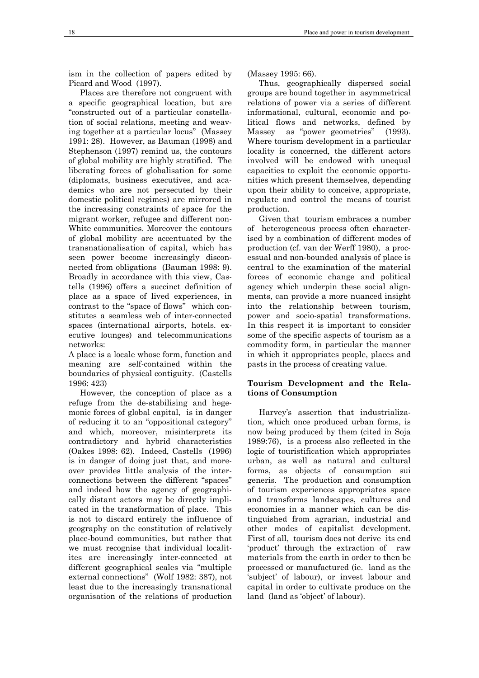ism in the collection of papers edited by Picard and Wood (1997).

Places are therefore not congruent with a specific geographical location, but are "constructed out of a particular constellation of social relations, meeting and weaving together at a particular locus" (Massey 1991: 28). However, as Bauman (1998) and Stephenson (1997) remind us, the contours of global mobility are highly stratified. The liberating forces of globalisation for some (diplomats, business executives, and academics who are not persecuted by their domestic political regimes) are mirrored in the increasing constraints of space for the migrant worker, refugee and different non-White communities. Moreover the contours of global mobility are accentuated by the transnationalisation of capital, which has seen power become increasingly disconnected from obligations (Bauman 1998: 9). Broadly in accordance with this view, Castells (1996) offers a succinct definition of place as a space of lived experiences, in contrast to the "space of flows" which constitutes a seamless web of inter-connected spaces (international airports, hotels. executive lounges) and telecommunications networks:

A place is a locale whose form, function and meaning are self-contained within the boundaries of physical contiguity. (Castells 1996: 423)

However, the conception of place as a refuge from the de-stabilising and hegemonic forces of global capital, is in danger of reducing it to an "oppositional category" and which, moreover, misinterprets its contradictory and hybrid characteristics (Oakes 1998: 62). Indeed, Castells (1996) is in danger of doing just that, and moreover provides little analysis of the interconnections between the different "spaces" and indeed how the agency of geographically distant actors may be directly implicated in the transformation of place. This is not to discard entirely the influence of geography on the constitution of relatively place-bound communities, but rather that we must recognise that individual localitites are increasingly inter-connected at different geographical scales via "multiple external connections" (Wolf 1982: 387), not least due to the increasingly transnational organisation of the relations of production

(Massey 1995: 66).

Thus, geographically dispersed social groups are bound together in asymmetrical relations of power via a series of different informational, cultural, economic and political flows and networks, defined by Massey as "power geometries" (1993). Where tourism development in a particular locality is concerned, the different actors involved will be endowed with unequal capacities to exploit the economic opportunities which present themselves, depending upon their ability to conceive, appropriate, regulate and control the means of tourist production.

Given that tourism embraces a number of heterogeneous process often characterised by a combination of different modes of production (cf. van der Werff 1980), a processual and non-bounded analysis of place is central to the examination of the material forces of economic change and political agency which underpin these social alignments, can provide a more nuanced insight into the relationship between tourism, power and socio-spatial transformations. In this respect it is important to consider some of the specific aspects of tourism as a commodity form, in particular the manner in which it appropriates people, places and pasts in the process of creating value.

### **Tourism Development and the Relations of Consumption**

Harvey's assertion that industrialization, which once produced urban forms, is now being produced by them (cited in Soja 1989:76), is a process also reflected in the logic of touristification which appropriates urban, as well as natural and cultural forms, as objects of consumption sui generis. The production and consumption of tourism experiences appropriates space and transforms landscapes, cultures and economies in a manner which can be distinguished from agrarian, industrial and other modes of capitalist development. First of all, tourism does not derive its end 'product' through the extraction of raw materials from the earth in order to then be processed or manufactured (ie. land as the 'subject' of labour), or invest labour and capital in order to cultivate produce on the land (land as 'object' of labour).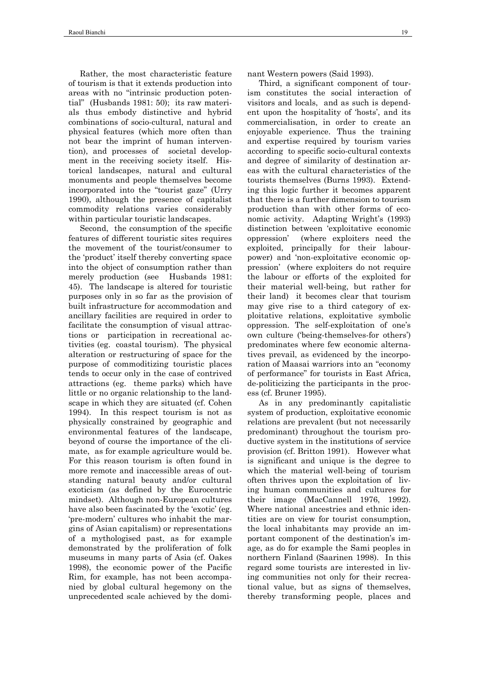Rather, the most characteristic feature of tourism is that it extends production into areas with no "intrinsic production potential" (Husbands 1981: 50); its raw materials thus embody distinctive and hybrid combinations of socio-cultural, natural and physical features (which more often than not bear the imprint of human intervention), and processes of societal development in the receiving society itself. Historical landscapes, natural and cultural monuments and people themselves become incorporated into the "tourist gaze" (Urry 1990), although the presence of capitalist commodity relations varies considerably within particular touristic landscapes.

Second, the consumption of the specific features of different touristic sites requires the movement of the tourist/consumer to the 'product' itself thereby converting space into the object of consumption rather than merely production (see Husbands 1981: 45). The landscape is altered for touristic purposes only in so far as the provision of built infrastructure for accommodation and ancillary facilities are required in order to facilitate the consumption of visual attractions or participation in recreational activities (eg. coastal tourism). The physical alteration or restructuring of space for the purpose of commoditizing touristic places tends to occur only in the case of contrived attractions (eg. theme parks) which have little or no organic relationship to the landscape in which they are situated (cf. Cohen 1994). In this respect tourism is not as physically constrained by geographic and environmental features of the landscape, beyond of course the importance of the climate, as for example agriculture would be. For this reason tourism is often found in more remote and inaccessible areas of outstanding natural beauty and/or cultural exoticism (as defined by the Eurocentric mindset). Although non-European cultures have also been fascinated by the 'exotic' (eg. 'pre-modern' cultures who inhabit the margins of Asian capitalism) or representations of a mythologised past, as for example demonstrated by the proliferation of folk museums in many parts of Asia (cf. Oakes 1998), the economic power of the Pacific Rim, for example, has not been accompanied by global cultural hegemony on the unprecedented scale achieved by the dominant Western powers (Said 1993).

Third, a significant component of tourism constitutes the social interaction of visitors and locals, and as such is dependent upon the hospitality of 'hosts', and its commercialisation, in order to create an enjoyable experience. Thus the training and expertise required by tourism varies according to specific socio-cultural contexts and degree of similarity of destination areas with the cultural characteristics of the tourists themselves (Burns 1993). Extending this logic further it becomes apparent that there is a further dimension to tourism production than with other forms of economic activity. Adapting Wright's (1993) distinction between 'exploitative economic oppression' (where exploiters need the exploited, principally for their labourpower) and 'non-exploitative economic oppression' (where exploiters do not require the labour or efforts of the exploited for their material well-being, but rather for their land) it becomes clear that tourism may give rise to a third category of exploitative relations, exploitative symbolic oppression. The self-exploitation of one's own culture ('being-themselves-for others') predominates where few economic alternatives prevail, as evidenced by the incorporation of Maasai warriors into an "economy of performance" for tourists in East Africa, de-politicizing the participants in the process (cf. Bruner 1995).

As in any predominantly capitalistic system of production, exploitative economic relations are prevalent (but not necessarily predominant) throughout the tourism productive system in the institutions of service provision (cf. Britton 1991). However what is significant and unique is the degree to which the material well-being of tourism often thrives upon the exploitation of living human communities and cultures for their image (MacCannell 1976, 1992). Where national ancestries and ethnic identities are on view for tourist consumption, the local inhabitants may provide an important component of the destination's image, as do for example the Sami peoples in northern Finland (Saarinen 1998). In this regard some tourists are interested in living communities not only for their recreational value, but as signs of themselves, thereby transforming people, places and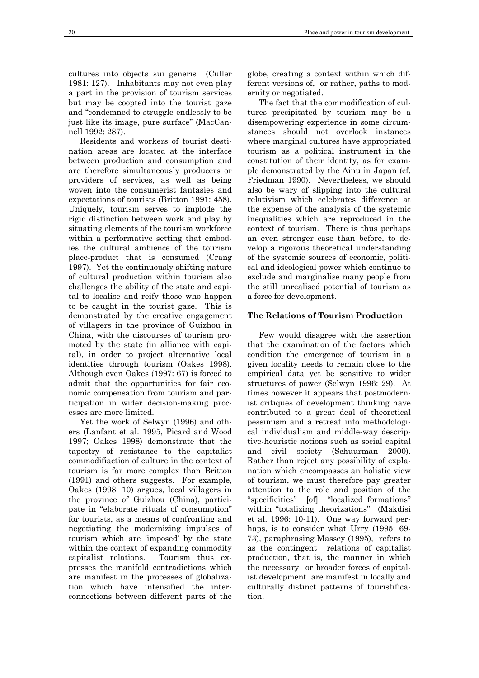cultures into objects sui generis (Culler 1981: 127). Inhabitants may not even play a part in the provision of tourism services but may be coopted into the tourist gaze and "condemned to struggle endlessly to be just like its image, pure surface" (MacCannell 1992: 287).

Residents and workers of tourist destination areas are located at the interface between production and consumption and are therefore simultaneously producers or providers of services, as well as being woven into the consumerist fantasies and expectations of tourists (Britton 1991: 458). Uniquely, tourism serves to implode the rigid distinction between work and play by situating elements of the tourism workforce within a performative setting that embodies the cultural ambience of the tourism place-product that is consumed (Crang 1997). Yet the continuously shifting nature of cultural production within tourism also challenges the ability of the state and capital to localise and reify those who happen to be caught in the tourist gaze. This is demonstrated by the creative engagement of villagers in the province of Guizhou in China, with the discourses of tourism promoted by the state (in alliance with capital), in order to project alternative local identities through tourism (Oakes 1998). Although even Oakes (1997: 67) is forced to admit that the opportunities for fair economic compensation from tourism and participation in wider decision-making processes are more limited.

Yet the work of Selwyn (1996) and others (Lanfant et al. 1995, Picard and Wood 1997; Oakes 1998) demonstrate that the tapestry of resistance to the capitalist commodifiaction of culture in the context of tourism is far more complex than Britton (1991) and others suggests. For example, Oakes (1998: 10) argues, local villagers in the province of Guizhou (China), participate in "elaborate rituals of consumption" for tourists, as a means of confronting and negotiating the modernizing impulses of tourism which are 'imposed' by the state within the context of expanding commodity capitalist relations. Tourism thus expresses the manifold contradictions which are manifest in the processes of globalization which have intensified the interconnections between different parts of the

globe, creating a context within which different versions of, or rather, paths to modernity or negotiated.

The fact that the commodification of cultures precipitated by tourism may be a disempowering experience in some circumstances should not overlook instances where marginal cultures have appropriated tourism as a political instrument in the constitution of their identity, as for example demonstrated by the Ainu in Japan (cf. Friedman 1990). Nevertheless, we should also be wary of slipping into the cultural relativism which celebrates difference at the expense of the analysis of the systemic inequalities which are reproduced in the context of tourism. There is thus perhaps an even stronger case than before, to develop a rigorous theoretical understanding of the systemic sources of economic, political and ideological power which continue to exclude and marginalise many people from the still unrealised potential of tourism as a force for development.

# **The Relations of Tourism Production**

Few would disagree with the assertion that the examination of the factors which condition the emergence of tourism in a given locality needs to remain close to the empirical data yet be sensitive to wider structures of power (Selwyn 1996: 29). At times however it appears that postmodernist critiques of development thinking have contributed to a great deal of theoretical pessimism and a retreat into methodological individualism and middle-way descriptive-heuristic notions such as social capital and civil society (Schuurman 2000). Rather than reject any possibility of explanation which encompasses an holistic view of tourism, we must therefore pay greater attention to the role and position of the "specificities" [of] "localized formations" within "totalizing theorizations" (Makdisi et al. 1996: 10-11). One way forward perhaps, is to consider what Urry (1995: 69- 73), paraphrasing Massey (1995), refers to as the contingent relations of capitalist production, that is, the manner in which the necessary or broader forces of capitalist development are manifest in locally and culturally distinct patterns of touristification.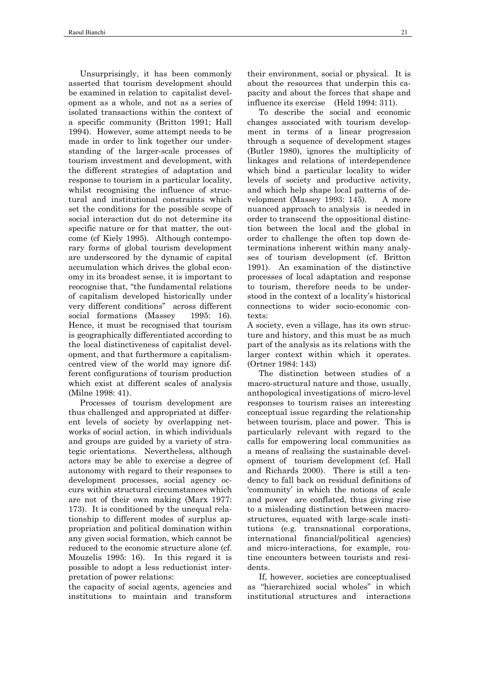Unsurprisingly, it has been commonly asserted that tourism development should be examined in relation to capitalist development as a whole, and not as a series of isolated transactions within the context of a specific community (Britton 1991; Hall 1994). However, some attempt needs to be made in order to link together our understanding of the larger-scale processes of tourism investment and development, with the different strategies of adaptation and response to tourism in a particular locality, whilst recognising the influence of structural and institutional constraints which set the conditions for the possible scope of social interaction dut do not determine its specific nature or for that matter, the outcome (cf Kiely 1995). Although contemporary forms of global tourism development are underscored by the dynamic of capital accumulation which drives the global economy in its broadest sense, it is important to reocognise that, "the fundamental relations of capitalism developed historically under very different conditions" across different social formations (Massey 1995: 16). Hence, it must be recognised that tourism is geographically differentiated according to the local distinctiveness of capitalist development, and that furthermore a capitalismcentred view of the world may ignore different configurations of tourism production which exist at different scales of analysis (Milne 1998: 41).

Processes of tourism development are thus challenged and appropriated at different levels of society by overlapping networks of social action, in which individuals and groups are guided by a variety of strategic orientations. Nevertheless, although actors may be able to exercise a degree of autonomy with regard to their responses to development processes, social agency occurs within structural circumstances which are not of their own making (Marx 1977: 173). It is conditioned by the unequal relationship to different modes of surplus appropriation and political domination within any given social formation, which cannot be reduced to the economic structure alone (cf. Mouzelis 1995: 16). In this regard it is possible to adopt a less reductionist interpretation of power relations:

the capacity of social agents, agencies and institutions to maintain and transform

their environment, social or physical. It is about the resources that underpin this capacity and about the forces that shape and influence its exercise (Held 1994: 311).

To describe the social and economic changes associated with tourism development in terms of a linear progression through a sequence of development stages (Butler 1980), ignores the multiplicity of linkages and relations of interdependence which bind a particular locality to wider levels of society and productive activity, and which help shape local patterns of development (Massey 1993: 145). A more nuanced approach to analysis is needed in order to transcend the oppositional distinction between the local and the global in order to challenge the often top down determinations inherent within many analyses of tourism development (cf. Britton 1991). An examination of the distinctive processes of local adaptation and response to tourism, therefore needs to be understood in the context of a locality's historical connections to wider socio-economic contexts:

A society, even a village, has its own structure and history, and this must be as much part of the analysis as its relations with the larger context within which it operates. (Ortner 1984: 143)

The distinction between studies of a macro-structural nature and those, usually, anthopological investigations of micro-level responses to tourism raises an interesting conceptual issue regarding the relationship between tourism, place and power. This is particularly relevant with regard to the calls for empowering local communities as a means of realising the sustainable development of tourism development (cf. Hall and Richards 2000). There is still a tendency to fall back on residual definitions of 'community' in which the notions of scale and power are conflated, thus giving rise to a misleading distinction between macrostructures, equated with large-scale institutions (e.g. transnational corporations, international financial/political agencies) and micro-interactions, for example, routine encounters between tourists and residents.

If, however, societies are conceptualised as "hierarchized social wholes" in which institutional structures and interactions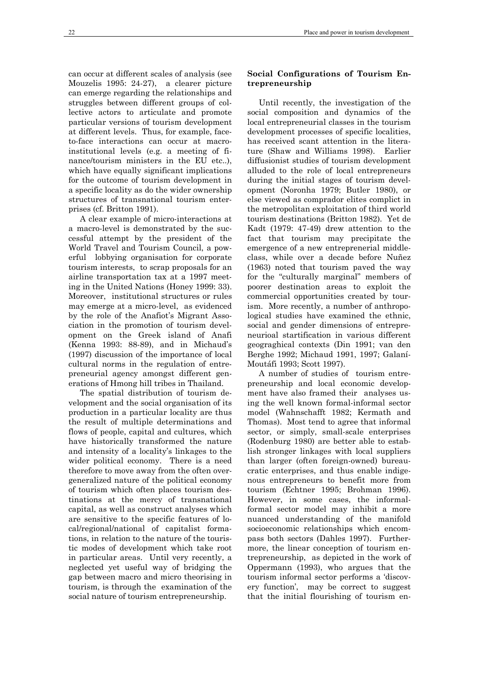can occur at different scales of analysis (see Mouzelis 1995: 24-27), a clearer picture can emerge regarding the relationships and struggles between different groups of collective actors to articulate and promote particular versions of tourism development at different levels. Thus, for example, faceto-face interactions can occur at macroinstitutional levels (e.g. a meeting of finance/tourism ministers in the EU etc..), which have equally significant implications for the outcome of tourism development in a specific locality as do the wider ownership structures of transnational tourism enterprises (cf. Britton 1991).

A clear example of micro-interactions at a macro-level is demonstrated by the successful attempt by the president of the World Travel and Tourism Council, a powerful lobbying organisation for corporate tourism interests, to scrap proposals for an airline transportation tax at a 1997 meeting in the United Nations (Honey 1999: 33). Moreover, institutional structures or rules may emerge at a micro-level, as evidenced by the role of the Anafiot's Migrant Association in the promotion of tourism development on the Greek island of Anafi (Kenna 1993: 88-89), and in Michaud's (1997) discussion of the importance of local cultural norms in the regulation of entrepreneurial agency amongst different generations of Hmong hill tribes in Thailand.

The spatial distribution of tourism development and the social organisation of its production in a particular locality are thus the result of multiple determinations and flows of people, capital and cultures, which have historically transformed the nature and intensity of a locality's linkages to the wider political economy. There is a need therefore to move away from the often overgeneralized nature of the political economy of tourism which often places tourism destinations at the mercy of transnational capital, as well as construct analyses which are sensitive to the specific features of local/regional/national of capitalist formations, in relation to the nature of the touristic modes of development which take root in particular areas. Until very recently, a neglected yet useful way of bridging the gap between macro and micro theorising in tourism, is through the examination of the social nature of tourism entrepreneurship.

# **Social Configurations of Tourism Entrepreneurship**

Until recently, the investigation of the social composition and dynamics of the local entrepreneurial classes in the tourism development processes of specific localities, has received scant attention in the literature (Shaw and Williams 1998). Earlier diffusionist studies of tourism development alluded to the role of local entrepreneurs during the initial stages of tourism development (Noronha 1979; Butler 1980), or else viewed as comprador elites complict in the metropolitan exploitation of third world tourism destinations (Britton 1982). Yet de Kadt (1979: 47-49) drew attention to the fact that tourism may precipitate the emergence of a new entreprenerial middleclass, while over a decade before Nuñez (1963) noted that tourism paved the way for the "culturally marginal" members of poorer destination areas to exploit the commercial opportunities created by tourism. More recently, a number of anthropological studies have examined the ethnic, social and gender dimensions of entrepreneurioal startification in various different geograghical contexts (Din 1991; van den Berghe 1992; Michaud 1991, 1997; Galaní-Moutáfi 1993; Scott 1997).

A number of studies of tourism entrepreneurship and local economic development have also framed their analyses using the well known formal-informal sector model (Wahnschafft 1982; Kermath and Thomas). Most tend to agree that informal sector, or simply, small-scale enterprises (Rodenburg 1980) are better able to establish stronger linkages with local suppliers than larger (often foreign-owned) bureaucratic enterprises, and thus enable indigenous entrepreneurs to benefit more from tourism (Echtner 1995; Brohman 1996). However, in some cases, the informalformal sector model may inhibit a more nuanced understanding of the manifold socioeconomic relationships which encompass both sectors (Dahles 1997). Furthermore, the linear conception of tourism entrepreneurship, as depicted in the work of Oppermann (1993), who argues that the tourism informal sector performs a 'discovery function', may be correct to suggest that the initial flourishing of tourism en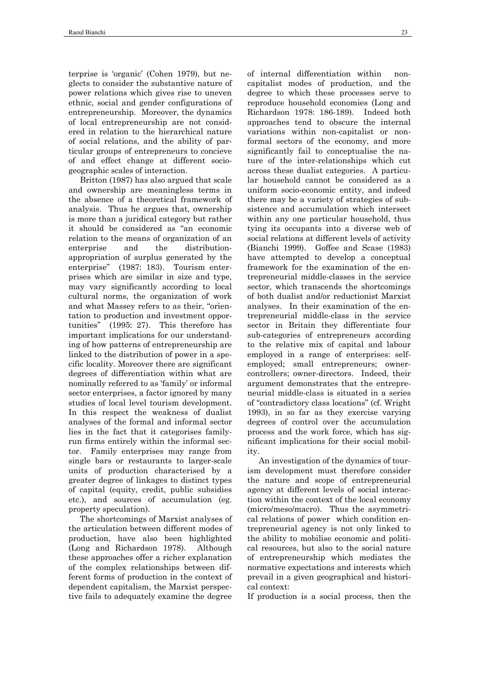terprise is 'organic' (Cohen 1979), but neglects to consider the substantive nature of power relations which gives rise to uneven ethnic, social and gender configurations of entrepreneurship. Moreover, the dynamics of local entrepreneurship are not considered in relation to the hierarchical nature of social relations, and the ability of particular groups of entrepreneurs to concieve of and effect change at different sociogeographic scales of interaction.

Britton (1987) has also argued that scale and ownership are meaningless terms in the absence of a theoretical framework of analysis. Thus he argues that, ownership is more than a juridical category but rather it should be considered as "an economic relation to the means of organization of an enterprise and the distributionappropriation of surplus generated by the enterprise" (1987: 183). Tourism enterprises which are similar in size and type, may vary significantly according to local cultural norms, the organization of work and what Massey refers to as their, "orientation to production and investment opportunities" (1995: 27). This therefore has important implications for our understanding of how patterns of entrepreneurship are linked to the distribution of power in a specific locality. Moreover there are significant degrees of differentiation within what are nominally referred to as 'family' or informal sector enterprises, a factor ignored by many studies of local level tourism development. In this respect the weakness of dualist analyses of the formal and informal sector lies in the fact that it categorises familyrun firms entirely within the informal sector. Family enterprises may range from single bars or restaurants to larger-scale units of production characterised by a greater degree of linkages to distinct types of capital (equity, credit, public subsidies etc.), and sources of accumulation (eg. property speculation).

The shortcomings of Marxist analyses of the articulation between different modes of production, have also been highlighted (Long and Richardson 1978). Although these approaches offer a richer explanation of the complex relationships between different forms of production in the context of dependent capitalism, the Marxist perspective fails to adequately examine the degree

of internal differentiation within noncapitalist modes of production, and the degree to which these processes serve to reproduce household economies (Long and Richardson 1978: 186-189). Indeed both approaches tend to obscure the internal variations within non-capitalist or nonformal sectors of the economy, and more significantly fail to conceptualise the nature of the inter-relationships which cut across these dualist categories. A particular household cannot be considered as a uniform socio-economic entity, and indeed there may be a variety of strategies of subsistence and accumulation which intersect within any one particular household, thus tying its occupants into a diverse web of social relations at different levels of activity (Bianchi 1999). Goffee and Scase (1983) have attempted to develop a conceptual framework for the examination of the entrepreneurial middle-classes in the service sector, which transcends the shortcomings of both dualist and/or reductionist Marxist analyses. In their examination of the entrepreneurial middle-class in the service sector in Britain they differentiate four sub-categories of entrepreneurs according to the relative mix of capital and labour employed in a range of enterprises: selfemployed; small entrepreneurs; ownercontrollers; owner-directors. Indeed, their argument demonstrates that the entrepreneurial middle-class is situated in a series of "contradictory class locations" (cf. Wright 1993), in so far as they exercise varying degrees of control over the accumulation process and the work force, which has significant implications for their social mobility.

An investigation of the dynamics of tourism development must therefore consider the nature and scope of entrepreneurial agency at different levels of social interaction within the context of the local economy (micro/meso/macro). Thus the asymmetrical relations of power which condition entrepreneurial agency is not only linked to the ability to mobilise economic and political resources, but also to the social nature of entrepreneurship which mediates the normative expectations and interests which prevail in a given geographical and historical context:

If production is a social process, then the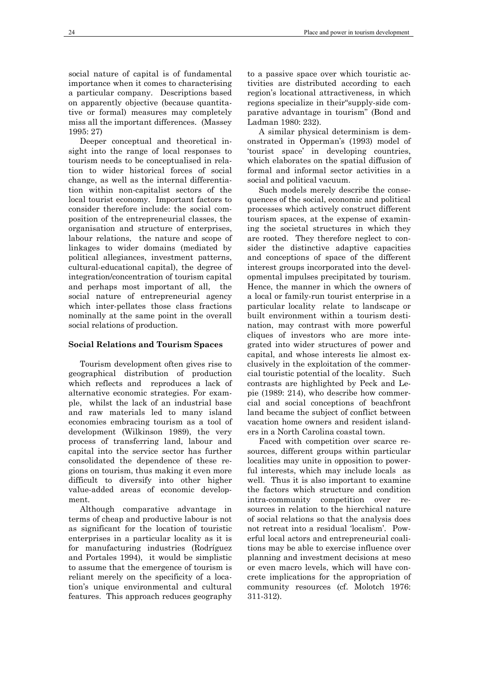social nature of capital is of fundamental importance when it comes to characterising a particular company. Descriptions based on apparently objective (because quantitative or formal) measures may completely miss all the important differences. (Massey 1995: 27)

Deeper conceptual and theoretical insight into the range of local responses to tourism needs to be conceptualised in relation to wider historical forces of social change, as well as the internal differentiation within non-capitalist sectors of the local tourist economy. Important factors to consider therefore include: the social composition of the entrepreneurial classes, the organisation and structure of enterprises, labour relations, the nature and scope of linkages to wider domains (mediated by political allegiances, investment patterns, cultural-educational capital), the degree of integration/concentration of tourism capital and perhaps most important of all, the social nature of entrepreneurial agency which inter-pellates those class fractions nominally at the same point in the overall social relations of production.

#### **Social Relations and Tourism Spaces**

Tourism development often gives rise to geographical distribution of production which reflects and reproduces a lack of alternative economic strategies. For example, whilst the lack of an industrial base and raw materials led to many island economies embracing tourism as a tool of development (Wilkinson 1989), the very process of transferring land, labour and capital into the service sector has further consolidated the dependence of these regions on tourism, thus making it even more difficult to diversify into other higher value-added areas of economic development.

Although comparative advantage in terms of cheap and productive labour is not as significant for the location of touristic enterprises in a particular locality as it is for manufacturing industries (Rodríguez and Portales 1994), it would be simplistic to assume that the emergence of tourism is reliant merely on the specificity of a location's unique environmental and cultural features. This approach reduces geography

to a passive space over which touristic activities are distributed according to each region's locational attractiveness, in which regions specialize in their"supply-side comparative advantage in tourism" (Bond and Ladman 1980: 232).

A similar physical determinism is demonstrated in Opperman's (1993) model of 'tourist space' in developing countries, which elaborates on the spatial diffusion of formal and informal sector activities in a social and political vacuum.

Such models merely describe the consequences of the social, economic and political processes which actively construct different tourism spaces, at the expense of examining the societal structures in which they are rooted. They therefore neglect to consider the distinctive adaptive capacities and conceptions of space of the different interest groups incorporated into the developmental impulses precipitated by tourism. Hence, the manner in which the owners of a local or family-run tourist enterprise in a particular locality relate to landscape or built environment within a tourism destination, may contrast with more powerful cliques of investors who are more integrated into wider structures of power and capital, and whose interests lie almost exclusively in the exploitation of the commercial touristic potential of the locality. Such contrasts are highlighted by Peck and Lepie (1989: 214), who describe how commercial and social conceptions of beachfront land became the subject of conflict between vacation home owners and resident islanders in a North Carolina coastal town.

Faced with competition over scarce resources, different groups within particular localities may unite in opposition to powerful interests, which may include locals as well. Thus it is also important to examine the factors which structure and condition intra-community competition over resources in relation to the hierchical nature of social relations so that the analysis does not retreat into a residual 'localism'. Powerful local actors and entrepreneurial coalitions may be able to exercise influence over planning and investment decisions at meso or even macro levels, which will have concrete implications for the appropriation of community resources (cf. Molotch 1976: 311-312).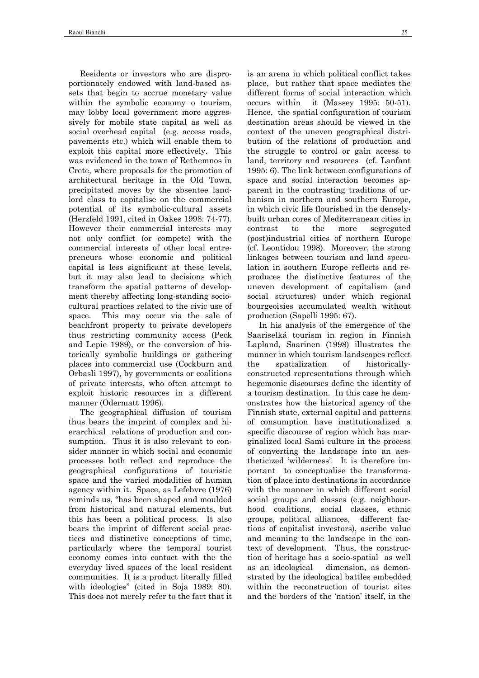Residents or investors who are disproportionately endowed with land-based assets that begin to accrue monetary value within the symbolic economy o tourism, may lobby local government more aggressively for mobile state capital as well as social overhead capital (e.g. access roads, pavements etc.) which will enable them to exploit this capital more effectively. This was evidenced in the town of Rethemnos in Crete, where proposals for the promotion of architectural heritage in the Old Town, precipitated moves by the absentee landlord class to capitalise on the commercial potential of its symbolic-cultural assets (Herzfeld 1991, cited in Oakes 1998: 74-77). However their commercial interests may not only conflict (or compete) with the commercial interests of other local entrepreneurs whose economic and political capital is less significant at these levels, but it may also lead to decisions which transform the spatial patterns of development thereby affecting long-standing sociocultural practices related to the civic use of space. This may occur via the sale of beachfront property to private developers thus restricting community access (Peck and Lepie 1989), or the conversion of historically symbolic buildings or gathering places into commercial use (Cockburn and Orbasli 1997), by governments or coalitions of private interests, who often attempt to exploit historic resources in a different manner (Odermatt 1996).

The geographical diffusion of tourism thus bears the imprint of complex and hierarchical relations of production and consumption. Thus it is also relevant to consider manner in which social and economic processes both reflect and reproduce the geographical configurations of touristic space and the varied modalities of human agency within it. Space, as Lefebvre (1976) reminds us, "has been shaped and moulded from historical and natural elements, but this has been a political process. It also bears the imprint of different social practices and distinctive conceptions of time, particularly where the temporal tourist economy comes into contact with the the everyday lived spaces of the local resident communities. It is a product literally filled with ideologies" (cited in Soia 1989: 80). This does not merely refer to the fact that it

is an arena in which political conflict takes place, but rather that space mediates the different forms of social interaction which occurs within it (Massey 1995: 50-51). Hence, the spatial configuration of tourism destination areas should be viewed in the context of the uneven geographical distribution of the relations of production and the struggle to control or gain access to land, territory and resources (cf. Lanfant 1995: 6). The link between configurations of space and social interaction becomes apparent in the contrasting traditions of urbanism in northern and southern Europe, in which civic life flourished in the denselybuilt urban cores of Mediterranean cities in contrast to the more segregated (post)industrial cities of northern Europe (cf. Leontidou 1998). Moreover, the strong linkages between tourism and land speculation in southern Europe reflects and reproduces the distinctive features of the uneven development of capitalism (and social structures) under which regional bourgeoisies accumulated wealth without production (Sapelli 1995: 67).

 In his analysis of the emergence of the Saariselkä tourism in region in Finnish Lapland, Saarinen (1998) illustrates the manner in which tourism landscapes reflect the spatialization of historicallyconstructed representations through which hegemonic discourses define the identity of a tourism destination. In this case he demonstrates how the historical agency of the Finnish state, external capital and patterns of consumption have institutionalized a specific discourse of region which has marginalized local Sami culture in the process of converting the landscape into an aestheticized 'wilderness'. It is therefore important to conceptualise the transformation of place into destinations in accordance with the manner in which different social social groups and classes (e.g. neighbourhood coalitions, social classes, ethnic groups, political alliances, different factions of capitalist investors), ascribe value and meaning to the landscape in the context of development. Thus, the construction of heritage has a socio-spatial as well as an ideological dimension, as demonstrated by the ideological battles embedded within the reconstruction of tourist sites and the borders of the 'nation' itself, in the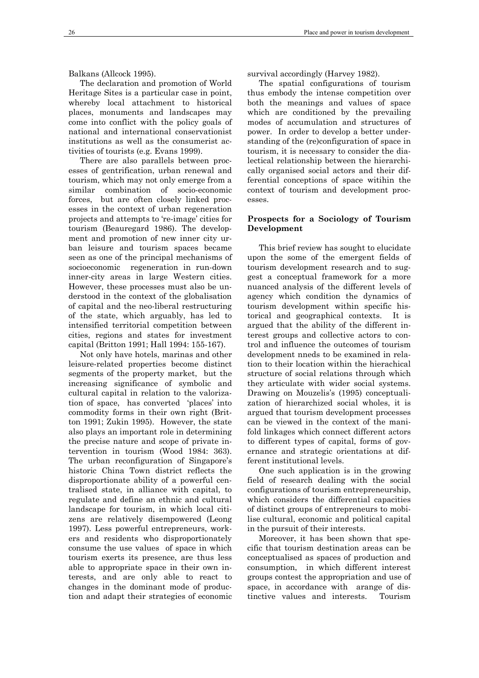Balkans (Allcock 1995).

The declaration and promotion of World Heritage Sites is a particular case in point, whereby local attachment to historical places, monuments and landscapes may come into conflict with the policy goals of national and international conservationist institutions as well as the consumerist activities of tourists (e.g. Evans 1999).

There are also parallels between processes of gentrification, urban renewal and tourism, which may not only emerge from a similar combination of socio-economic forces, but are often closely linked processes in the context of urban regeneration projects and attempts to 're-image' cities for tourism (Beauregard 1986). The development and promotion of new inner city urban leisure and tourism spaces became seen as one of the principal mechanisms of socioeconomic regeneration in run-down inner-city areas in large Western cities. However, these processes must also be understood in the context of the globalisation of capital and the neo-liberal restructuring of the state, which arguably, has led to intensified territorial competition between cities, regions and states for investment capital (Britton 1991; Hall 1994: 155-167).

Not only have hotels, marinas and other leisure-related properties become distinct segments of the property market, but the increasing significance of symbolic and cultural capital in relation to the valorization of space, has converted 'places' into commodity forms in their own right (Britton 1991; Zukin 1995). However, the state also plays an important role in determining the precise nature and scope of private intervention in tourism (Wood 1984: 363). The urban reconfiguration of Singapore's historic China Town district reflects the disproportionate ability of a powerful centralised state, in alliance with capital, to regulate and define an ethnic and cultural landscape for tourism, in which local citizens are relatively disempowered (Leong 1997). Less powerful entrepreneurs, workers and residents who disproportionately consume the use values of space in which tourism exerts its presence, are thus less able to appropriate space in their own interests, and are only able to react to changes in the dominant mode of production and adapt their strategies of economic

survival accordingly (Harvey 1982).

The spatial configurations of tourism thus embody the intense competition over both the meanings and values of space which are conditioned by the prevailing modes of accumulation and structures of power. In order to develop a better understanding of the (re)configuration of space in tourism, it is necessary to consider the dialectical relationship between the hierarchically organised social actors and their differential conceptions of space witihin the context of tourism and development processes.

#### **Prospects for a Sociology of Tourism Development**

This brief review has sought to elucidate upon the some of the emergent fields of tourism development research and to suggest a conceptual framework for a more nuanced analysis of the different levels of agency which condition the dynamics of tourism development within specific historical and geographical contexts. It is argued that the ability of the different interest groups and collective actors to control and influence the outcomes of tourism development nneds to be examined in relation to their location within the hierachical structure of social relations through which they articulate with wider social systems. Drawing on Mouzelis's (1995) conceptualization of hierarchized social wholes, it is argued that tourism development processes can be viewed in the context of the manifold linkages which connect different actors to different types of capital, forms of governance and strategic orientations at different institutional levels.

One such application is in the growing field of research dealing with the social configurations of tourism entrepreneurship, which considers the differential capacities of distinct groups of entrepreneurs to mobilise cultural, economic and political capital in the pursuit of their interests.

Moreover, it has been shown that specific that tourism destination areas can be conceptualised as spaces of production and consumption, in which different interest groups contest the appropriation and use of space, in accordance with arange of distinctive values and interests. Tourism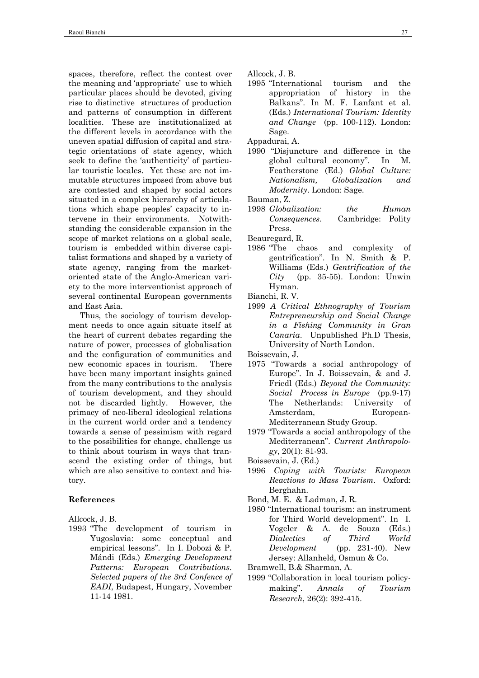spaces, therefore, reflect the contest over the meaning and 'appropriate' use to which particular places should be devoted, giving rise to distinctive structures of production and patterns of consumption in different localities. These are institutionalized at the different levels in accordance with the uneven spatial diffusion of capital and strategic orientations of state agency, which seek to define the 'authenticity' of particular touristic locales. Yet these are not immutable structures imposed from above but are contested and shaped by social actors situated in a complex hierarchy of articulations which shape peoples' capacity to intervene in their environments. Notwithstanding the considerable expansion in the scope of market relations on a global scale, tourism is embedded within diverse capitalist formations and shaped by a variety of state agency, ranging from the marketoriented state of the Anglo-American variety to the more interventionist approach of several continental European governments and East Asia.

Thus, the sociology of tourism development needs to once again situate itself at the heart of current debates regarding the nature of power, processes of globalisation and the configuration of communities and new economic spaces in tourism. There have been many important insights gained from the many contributions to the analysis of tourism development, and they should not be discarded lightly. However, the primacy of neo-liberal ideological relations in the current world order and a tendency towards a sense of pessimism with regard to the possibilities for change, challenge us to think about tourism in ways that transcend the existing order of things, but which are also sensitive to context and history.

# **References**

Allcock, J. B.

1993 "The development of tourism in Yugoslavia: some conceptual and empirical lessons". In I. Dobozi & P. Mándi (Eds.) *Emerging Development Patterns: European Contributions. Selected papers of the 3rd Confence of EADI*, Budapest, Hungary, November 11-14 1981.

Allcock, J. B.

1995 "International tourism and the appropriation of history in the Balkans". In M. F. Lanfant et al. (Eds.) *International Tourism: Identity and Change* (pp. 100-112). London: Sage.

Appadurai, A.

1990 "Disjuncture and difference in the global cultural economy". In M. Featherstone (Ed.) *Global Culture: Nationalism, Globalization and Modernity*. London: Sage.

Bauman, Z.

1998 *Globalization: the Human Consequences*. Cambridge: Polity Press.

Beauregard, R.

1986 "The chaos and complexity of gentrification". In N. Smith & P. Williams (Eds.) *Gentrification of the City* (pp. 35-55). London: Unwin Hyman.

Bianchi, R. V.

1999 *A Critical Ethnography of Tourism Entrepreneurship and Social Change in a Fishing Community in Gran Canaria*. Unpublished Ph.D Thesis, University of North London.

Boissevain, J.

- 1975 "Towards a social anthropology of Europe". In J. Boissevain, & and J. Friedl (Eds.) *Beyond the Community: Social Process in Europe* (pp.9-17) The Netherlands: University of Amsterdam, European-Mediterranean Study Group.
- 1979 "Towards a social anthropology of the Mediterranean". *Current Anthropology*, 20(1): 81-93.

Boissevain, J. (Ed.)

1996 *Coping with Tourists: European Reactions to Mass Tourism*. Oxford: Berghahn.

Bond, M. E. & Ladman, J. R.

1980 "International tourism: an instrument for Third World development". In I. Vogeler & A. de Souza (Eds.) *Dialectics of Third World Development* (pp. 231-40). New Jersey: Allanheld, Osmun & Co.

Bramwell, B.& Sharman, A.

1999 "Collaboration in local tourism policymaking". *Annals of Tourism Research*, 26(2): 392-415.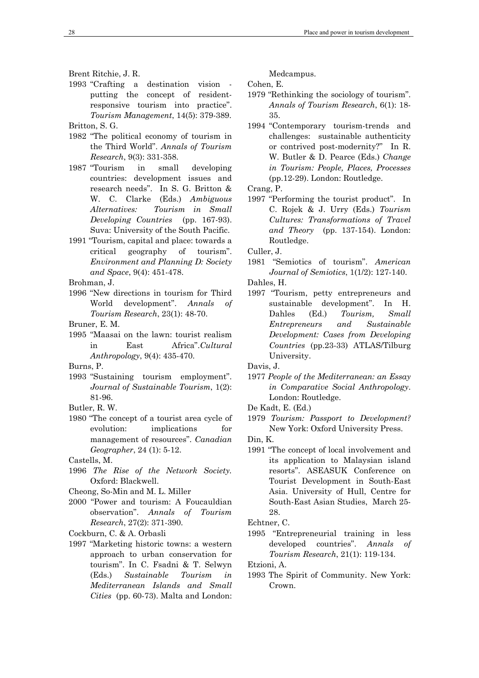- Brent Ritchie, J. R.
- 1993 "Crafting a destination vision putting the concept of residentresponsive tourism into practice". *Tourism Management*, 14(5): 379-389. Britton, S. G.
- 1982 "The political economy of tourism in the Third World". *Annals of Tourism Research*, 9(3): 331-358.
- 1987 "Tourism in small developing countries: development issues and research needs". In S. G. Britton & W. C. Clarke (Eds.) *Ambiguous Alternatives: Tourism in Small Developing Countries* (pp. 167-93). Suva: University of the South Pacific.
- 1991 "Tourism, capital and place: towards a critical geography of tourism". *Environment and Planning D: Society and Space*, 9(4): 451-478.

Brohman, J.

1996 "New directions in tourism for Third World development". *Annals of Tourism Research*, 23(1): 48-70.

Bruner, E. M.

1995 "Maasai on the lawn: tourist realism in East Africa".*Cultural Anthropology*, 9(4): 435-470.

Burns, P.

- 1993 "Sustaining tourism employment". *Journal of Sustainable Tourism*, 1(2): 81-96.
- Butler, R. W.
- 1980 "The concept of a tourist area cycle of evolution: implications for management of resources". *Canadian Geographer*, 24 (1): 5-12.

- 1996 *The Rise of the Network Society.* Oxford: Blackwell.
- Cheong, So-Min and M. L. Miller
- 2000 "Power and tourism: A Foucauldian observation". *Annals of Tourism Research*, 27(2): 371-390.
- Cockburn, C. & A. Orbasli
- 1997 "Marketing historic towns: a western approach to urban conservation for tourism". In C. Fsadni & T. Selwyn (Eds.) *Sustainable Tourism in Mediterranean Islands and Small Cities* (pp. 60-73). Malta and London:

Medcampus.

Cohen, E.

- 1979 "Rethinking the sociology of tourism". *Annals of Tourism Research*, 6(1): 18- 35.
- 1994 "Contemporary tourism-trends and challenges: sustainable authenticity or contrived post-modernity?" In R. W. Butler & D. Pearce (Eds.) *Change in Tourism: People, Places, Processes* (pp.12-29). London: Routledge.

Crang, P.

1997 "Performing the tourist product". In C. Rojek & J. Urry (Eds.) *Tourism Cultures: Transformations of Travel and Theory* (pp. 137-154). London: Routledge.

Culler, J.

1981 "Semiotics of tourism". *American Journal of Semiotics*, 1(1/2): 127-140.

Dahles, H.

1997 "Tourism, petty entrepreneurs and sustainable development". In H. Dahles (Ed.) *Tourism, Small Entrepreneurs and Sustainable Development: Cases from Developing Countries* (pp.23-33) ATLAS/Tilburg University.

Davis, J.

- 1977 *People of the Mediterranean: an Essay in Comparative Social Anthropology*. London: Routledge.
- De Kadt, E. (Ed.)
- 1979 *Tourism: Passport to Development?* New York: Oxford University Press.

Din, K.

1991 "The concept of local involvement and its application to Malaysian island resorts". ASEASUK Conference on Tourist Development in South-East Asia. University of Hull, Centre for South-East Asian Studies, March 25- 28.

Echtner, C.

1995 "Entrepreneurial training in less developed countries". *Annals of Tourism Research*, 21(1): 119-134.

Etzioni, A.

1993 The Spirit of Community. New York: Crown.

Castells, M.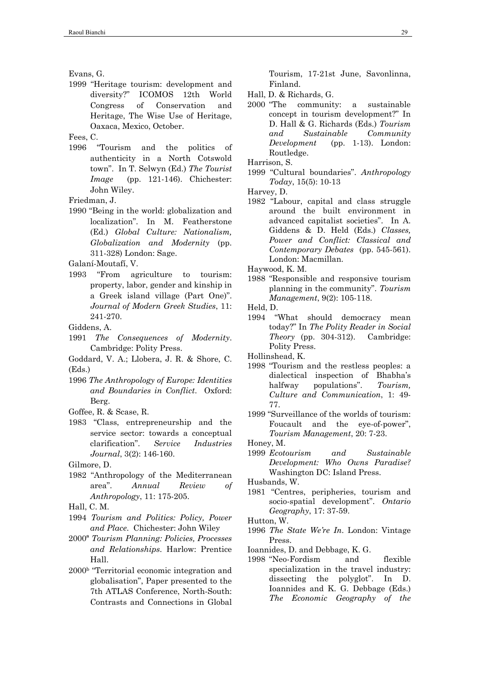1999 "Heritage tourism: development and diversity?" ICOMOS 12th World Congress of Conservation and Heritage, The Wise Use of Heritage, Oaxaca, Mexico, October.

Fees, C.

1996 "Tourism and the politics of authenticity in a North Cotswold town". In T. Selwyn (Ed.) *The Tourist Image* (pp. 121-146). Chichester: John Wiley.

Friedman, J.

1990 "Being in the world: globalization and localization". In M. Featherstone (Ed.) *Global Culture: Nationalism, Globalization and Modernity* (pp. 311-328) London: Sage.

Galaní-Moutafí, V.

- 1993 "From agriculture to tourism: property, labor, gender and kinship in a Greek island village (Part One)". *Journal of Modern Greek Studies*, 11: 241-270.
- Giddens, A.
- 1991 *The Consequences of Modernity*. Cambridge: Polity Press.
- Goddard, V. A.; Llobera, J. R. & Shore, C. (Eds.)
- 1996 *The Anthropology of Europe: Identities and Boundaries in Conflict*. Oxford: Berg.
- Goffee, R. & Scase, R.
- 1983 "Class, entrepreneurship and the service sector: towards a conceptual clarification". *Service Industries Journal*, 3(2): 146-160.
- Gilmore, D.
- 1982 "Anthropology of the Mediterranean area". *Annual Review of Anthropology*, 11: 175-205.
- Hall, C. M.
- 1994 *Tourism and Politics: Policy, Power and Place*. Chichester: John Wiley
- 2000ª *Tourism Planning: Policies, Processes and Relationships*. Harlow: Prentice Hall.
- 2000b "Territorial economic integration and globalisation", Paper presented to the 7th ATLAS Conference, North-South: Contrasts and Connections in Global

Tourism, 17-21st June, Savonlinna, Finland.

- Hall, D. & Richards, G.
- 2000 "The community: a sustainable concept in tourism development?" In D. Hall & G. Richards (Eds.) *Tourism and Sustainable Community Development* (pp. 1-13). London: Routledge.

Harrison, S.

1999 "Cultural boundaries". *Anthropology Today*, 15(5): 10-13

Harvey, D.

1982 "Labour, capital and class struggle around the built environment in advanced capitalist societies". In A. Giddens & D. Held (Eds.) *Classes, Power and Conflict: Classical and Contemporary Debates* (pp. 545-561). London: Macmillan.

Haywood, K. M.

- 1988 "Responsible and responsive tourism planning in the community". *Tourism Management*, 9(2): 105-118.
- Held, D.
- 1994 "What should democracy mean today?" In *The Polity Reader in Social Theory* (pp. 304-312). Cambridge: Polity Press.
- Hollinshead, K.
- 1998 "Tourism and the restless peoples: a dialectical inspection of Bhabha's halfway populations". *Tourism, Culture and Communication*, 1: 49- 77.
- 1999 "Surveillance of the worlds of tourism: Foucault and the eye-of-power", *Tourism Management*, 20: 7-23.

1999 *Ecotourism and Sustainable Development: Who Owns Paradise?* Washington DC: Island Press.

1981 "Centres, peripheries, tourism and socio-spatial development". *Ontario Geography*, 17: 37-59.

Hutton, W.

- 1996 *The State We're In*. London: Vintage Press.
- Ioannides, D. and Debbage, K. G.
- 1998 "Neo-Fordism and flexible specialization in the travel industry: dissecting the polyglot". In D. Ioannides and K. G. Debbage (Eds.) *The Economic Geography of the*

Evans, G.

Honey, M.

Husbands, W.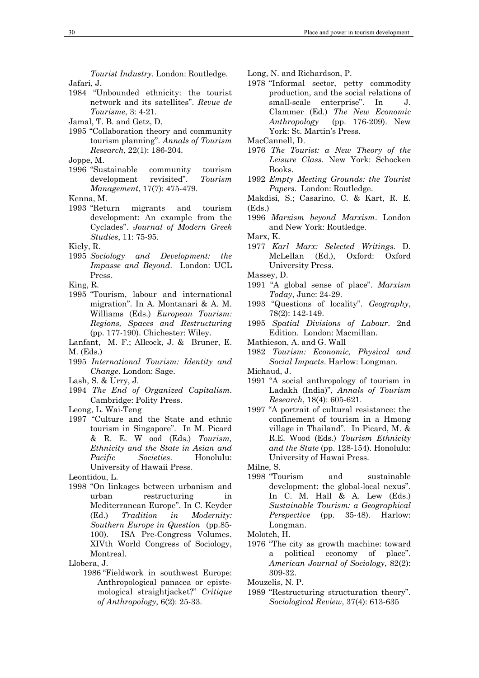*Tourist Industry*. London: Routledge. Jafari, J.

- 1984 "Unbounded ethnicity: the tourist network and its satellites". *Revue de Tourisme*, 3: 4-21.
- Jamal, T. B. and Getz, D.
- 1995 "Collaboration theory and community tourism planning". *Annals of Tourism Research*, 22(1): 186-204.
- Joppe, M.
- 1996 "Sustainable community tourism development revisited". *Tourism Management*, 17(7): 475-479.
- Kenna, M.
- 1993 "Return migrants and tourism development: An example from the Cyclades". *Journal of Modern Greek Studies*, 11: 75-95.
- Kiely, R.
- 1995 *Sociology and Development: the Impasse and Beyond*. London: UCL Press.
- King, R.
- 1995 "Tourism, labour and international migration". In A. Montanari & A. M. Williams (Eds.) *European Tourism: Regions, Spaces and Restructuring* (pp. 177-190). Chichester: Wiley.
- Lanfant, M. F.; Allcock, J. & Bruner, E. M. (Eds.)
- 1995 *International Tourism: Identity and Change*. London: Sage.
- Lash, S. & Urry, J.
- 1994 *The End of Organized Capitalism*. Cambridge: Polity Press.
- Leong, L. Wai-Teng
- 1997 "Culture and the State and ethnic tourism in Singapore". In M. Picard & R. E. W ood (Eds.) *Tourism, Ethnicity and the State in Asian and Pacific Societies*. Honolulu: University of Hawaii Press.

Leontidou, L.

- 1998 "On linkages between urbanism and urban restructuring in Mediterranean Europe". In C. Keyder (Ed.) *Tradition in Modernity: Southern Europe in Question* (pp.85- 100). ISA Pre-Congress Volumes. XIVth World Congress of Sociology, Montreal.
- Llobera, J.
	- 1986 "Fieldwork in southwest Europe: Anthropological panacea or epistemological straightjacket?" *Critique of Anthropology*, 6(2): 25-33.

Long, N. and Richardson, P.

1978 "Informal sector, petty commodity production, and the social relations of small-scale enterprise". In J. Clammer (Ed.) *The New Economic Anthropology* (pp. 176-209). New York: St. Martin's Press.

MacCannell, D.

- 1976 *The Tourist: a New Theory of the Leisure Class*. New York: Schocken Books.
- 1992 *Empty Meeting Grounds: the Tourist Papers*. London: Routledge.
- Makdisi, S.; Casarino, C. & Kart, R. E. (Eds.)
- 1996 *Marxism beyond Marxism*. London and New York: Routledge.

Marx, K.

- 1977 *Karl Marx: Selected Writings*. D. McLellan (Ed.), Oxford: Oxford University Press.
- Massey, D.
- 1991 "A global sense of place". *Marxism Today*, June: 24-29.
- 1993 "Questions of locality". *Geography*, 78(2): 142-149.
- 1995 *Spatial Divisions of Labour*. 2nd Edition. London: Macmillan.
- Mathieson, A. and G. Wall
- 1982 *Tourism: Economic, Physical and Social Impacts*. Harlow: Longman.
- Michaud, J.
- 1991 "A social anthropology of tourism in Ladakh (India)", *Annals of Tourism Research*, 18(4): 605-621.
- 1997 "A portrait of cultural resistance: the confinement of tourism in a Hmong village in Thailand". In Picard, M. & R.E. Wood (Eds.) *Tourism Ethnicity and the State* (pp. 128-154). Honolulu: University of Hawai Press.

Milne, S.

1998 "Tourism and sustainable development: the global-local nexus". In C. M. Hall & A. Lew (Eds.) *Sustainable Tourism: a Geographical Perspective* (pp. 35-48). Harlow: Longman.

Molotch, H.

1976 "The city as growth machine: toward a political economy of place". *American Journal of Sociology*, 82(2): 309-32.

Mouzelis, N. P.

1989 "Restructuring structuration theory". *Sociological Review*, 37(4): 613-635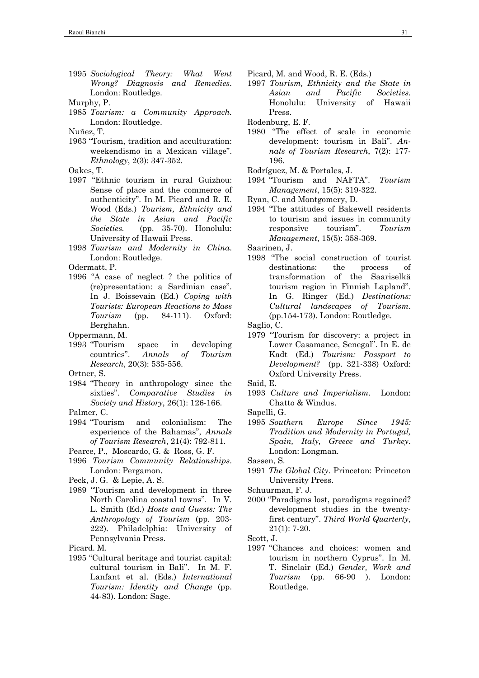- 1995 *Sociological Theory: What Went Wrong? Diagnosis and Remedies*. London: Routledge.
- Murphy, P.
- 1985 *Tourism: a Community Approach.* London: Routledge.

Nuñez, T.

- 1963 "Tourism, tradition and acculturation: weekendismo in a Mexican village". *Ethnology*, 2(3): 347-352.
- Oakes, T.
- 1997 "Ethnic tourism in rural Guizhou: Sense of place and the commerce of authenticity". In M. Picard and R. E. Wood (Eds.) *Tourism, Ethnicity and the State in Asian and Pacific Societies.* (pp. 35-70). Honolulu: University of Hawaii Press.
- 1998 *Tourism and Modernity in China*. London: Routledge.

Odermatt, P.

- 1996 "A case of neglect ? the politics of (re)presentation: a Sardinian case". In J. Boissevain (Ed.) *Coping with Tourists: European Reactions to Mass Tourism* (pp. 84-111). Oxford: Berghahn.
- Oppermann, M.
- 1993 "Tourism space in developing countries". *Annals of Tourism Research*, 20(3): 535-556.

Ortner, S.

- 1984 "Theory in anthropology since the sixties". *Comparative Studies in Society and History*, 26(1): 126-166.
- Palmer, C.
- 1994 "Tourism and colonialism: The experience of the Bahamas", *Annals of Tourism Research*, 21(4): 792-811.
- Pearce, P., Moscardo, G. & Ross, G. F.
- 1996 *Tourism Community Relationships*. London: Pergamon.
- Peck, J. G. & Lepie, A. S.
- 1989 "Tourism and development in three North Carolina coastal towns". In V. L. Smith (Ed.) *Hosts and Guests: The Anthropology of Tourism* (pp. 203- 222). Philadelphia: University of Pennsylvania Press.

Picard. M.

1995 "Cultural heritage and tourist capital: cultural tourism in Bali". In M. F. Lanfant et al. (Eds.) *International Tourism: Identity and Change (pp.* 44-83). London: Sage.

- Picard, M. and Wood, R. E. (Eds.)
- 1997 *Tourism, Ethnicity and the State in Asian and Pacific Societies*. Honolulu: University of Hawaii Press.

Rodenburg, E. F.

- 1980 "The effect of scale in economic development: tourism in Bali". *Annals of Tourism Research*, 7(2): 177- 196.
- Rodríguez, M. & Portales, J.
- 1994 "Tourism and NAFTA". *Tourism Management*, 15(5): 319-322.
- Ryan, C. and Montgomery, D.
- 1994 "The attitudes of Bakewell residents to tourism and issues in community responsive tourism". *Tourism Management*, 15(5): 358-369.

Saarinen, J.

1998 "The social construction of tourist destinations: the process of transformation of the Saariselkä tourism region in Finnish Lapland". In G. Ringer (Ed.) *Destinations: Cultural landscapes of Tourism*. (pp.154-173). London: Routledge.

Saglio, C.

1979 "Tourism for discovery: a project in Lower Casamance, Senegal". In E. de Kadt (Ed.) *Tourism: Passport to Development?* (pp. 321-338) Oxford: Oxford University Press.

Said, E.

1993 *Culture and Imperialism*. London: Chatto & Windus.

Sapelli, G.

1995 *Southern Europe Since 1945: Tradition and Modernity in Portugal, Spain, Italy, Greece and Turkey*. London: Longman.

Sassen, S.

1991 *The Global City*. Princeton: Princeton University Press.

2000 "Paradigms lost, paradigms regained? development studies in the twentyfirst century". *Third World Quarterly*, 21(1): 7-20.

Scott, J.

1997 "Chances and choices: women and tourism in northern Cyprus". In M. T. Sinclair (Ed.) *Gender, Work and Tourism* (pp. 66-90 ). London: Routledge.

Schuurman, F. J.